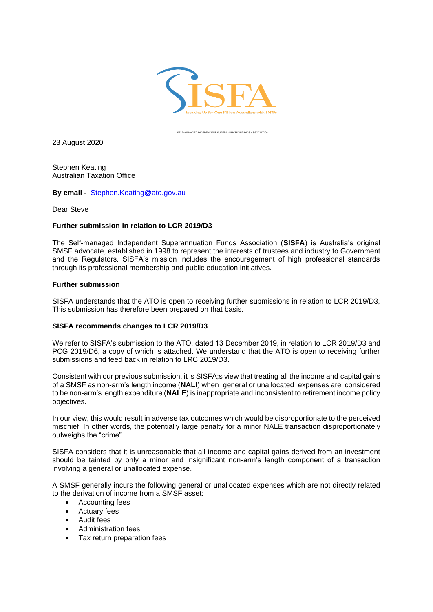

SELF-MANAGED INDEPENDENT SUPERANNUATION FUNDS ASSOCIATION

23 August 2020

Stephen Keating Australian Taxation Office

**By email -** [Stephen.Keating@ato.gov.au](mailto:Stephen.Keating@ato.gov.au)

Dear Steve

## **Further submission in relation to LCR 2019/D3**

The Self-managed Independent Superannuation Funds Association (**SISFA**) is Australia's original SMSF advocate, established in 1998 to represent the interests of trustees and industry to Government and the Regulators. SISFA's mission includes the encouragement of high professional standards through its professional membership and public education initiatives.

## **Further submission**

SISFA understands that the ATO is open to receiving further submissions in relation to LCR 2019/D3, This submission has therefore been prepared on that basis.

## **SISFA recommends changes to LCR 2019/D3**

We refer to SISFA's submission to the ATO, dated 13 December 2019, in relation to LCR 2019/D3 and PCG 2019/D6, a copy of which is attached. We understand that the ATO is open to receiving further submissions and feed back in relation to LRC 2019/D3.

Consistent with our previous submission, it is SISFA;s view that treating all the income and capital gains of a SMSF as non-arm's length income (**NALI**) when general or unallocated expenses are considered to be non-arm's length expenditure (**NALE**) is inappropriate and inconsistent to retirement income policy objectives.

In our view, this would result in adverse tax outcomes which would be disproportionate to the perceived mischief. In other words, the potentially large penalty for a minor NALE transaction disproportionately outweighs the "crime".

SISFA considers that it is unreasonable that all income and capital gains derived from an investment should be tainted by only a minor and insignificant non-arm's length component of a transaction involving a general or unallocated expense.

A SMSF generally incurs the following general or unallocated expenses which are not directly related to the derivation of income from a SMSF asset:

- Accounting fees
- Actuary fees
- Audit fees
- Administration fees
- Tax return preparation fees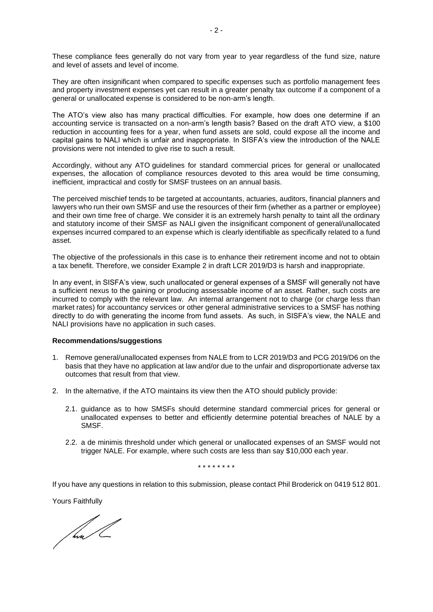These compliance fees generally do not vary from year to year regardless of the fund size, nature and level of assets and level of income.

They are often insignificant when compared to specific expenses such as portfolio management fees and property investment expenses yet can result in a greater penalty tax outcome if a component of a general or unallocated expense is considered to be non-arm's length.

The ATO's view also has many practical difficulties. For example, how does one determine if an accounting service is transacted on a non-arm's length basis? Based on the draft ATO view, a \$100 reduction in accounting fees for a year, when fund assets are sold, could expose all the income and capital gains to NALI which is unfair and inappropriate. In SISFA's view the introduction of the NALE provisions were not intended to give rise to such a result.

Accordingly, without any ATO guidelines for standard commercial prices for general or unallocated expenses, the allocation of compliance resources devoted to this area would be time consuming, inefficient, impractical and costly for SMSF trustees on an annual basis.

The perceived mischief tends to be targeted at accountants, actuaries, auditors, financial planners and lawyers who run their own SMSF and use the resources of their firm (whether as a partner or employee) and their own time free of charge. We consider it is an extremely harsh penalty to taint all the ordinary and statutory income of their SMSF as NALI given the insignificant component of general/unallocated expenses incurred compared to an expense which is clearly identifiable as specifically related to a fund asset.

The objective of the professionals in this case is to enhance their retirement income and not to obtain a tax benefit. Therefore, we consider Example 2 in draft LCR 2019/D3 is harsh and inappropriate.

In any event, in SISFA's view, such unallocated or general expenses of a SMSF will generally not have a sufficient nexus to the gaining or producing assessable income of an asset. Rather, such costs are incurred to comply with the relevant law. An internal arrangement not to charge (or charge less than market rates) for accountancy services or other general administrative services to a SMSF has nothing directly to do with generating the income from fund assets. As such, in SISFA's view, the NALE and NALI provisions have no application in such cases.

## **Recommendations/suggestions**

- 1. Remove general/unallocated expenses from NALE from to LCR 2019/D3 and PCG 2019/D6 on the basis that they have no application at law and/or due to the unfair and disproportionate adverse tax outcomes that result from that view.
- 2. In the alternative, if the ATO maintains its view then the ATO should publicly provide:
	- 2.1. guidance as to how SMSFs should determine standard commercial prices for general or unallocated expenses to better and efficiently determine potential breaches of NALE by a SMSF.
	- 2.2. a de minimis threshold under which general or unallocated expenses of an SMSF would not trigger NALE. For example, where such costs are less than say \$10,000 each year.

\* \* \* \* \* \* \* \*

If you have any questions in relation to this submission, please contact Phil Broderick on 0419 512 801.

Yours Faithfully

f hva /